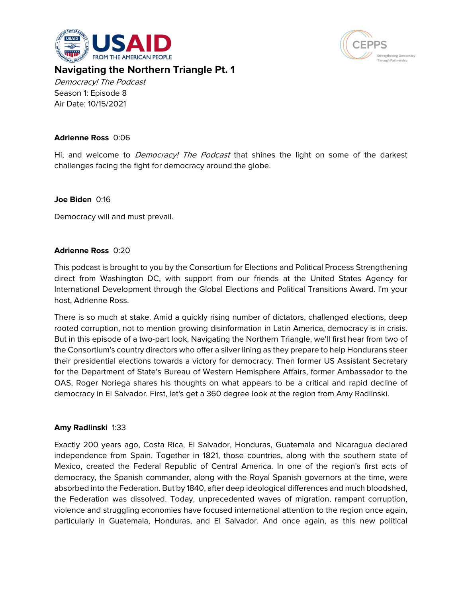



# **Navigating the Northern Triangle Pt. 1**

Democracy! The Podcast Season 1: Episode 8 Air Date: 10/15/2021

#### **Adrienne Ross** 0:06

Hi, and welcome to *Democracy! The Podcast* that shines the light on some of the darkest challenges facing the fight for democracy around the globe.

### **Joe Biden** 0:16

Democracy will and must prevail.

#### **Adrienne Ross** 0:20

This podcast is brought to you by the Consortium for Elections and Political Process Strengthening direct from Washington DC, with support from our friends at the United States Agency for International Development through the Global Elections and Political Transitions Award. I'm your host, Adrienne Ross.

There is so much at stake. Amid a quickly rising number of dictators, challenged elections, deep rooted corruption, not to mention growing disinformation in Latin America, democracy is in crisis. But in this episode of a two-part look, Navigating the Northern Triangle, we'll first hear from two of the Consortium's country directors who offer a silver lining as they prepare to help Hondurans steer their presidential elections towards a victory for democracy. Then former US Assistant Secretary for the Department of State's Bureau of Western Hemisphere Affairs, former Ambassador to the OAS, Roger Noriega shares his thoughts on what appears to be a critical and rapid decline of democracy in El Salvador. First, let's get a 360 degree look at the region from Amy Radlinski.

# **Amy Radlinski** 1:33

Exactly 200 years ago, Costa Rica, El Salvador, Honduras, Guatemala and Nicaragua declared independence from Spain. Together in 1821, those countries, along with the southern state of Mexico, created the Federal Republic of Central America. In one of the region's first acts of democracy, the Spanish commander, along with the Royal Spanish governors at the time, were absorbed into the Federation. But by 1840, after deep ideological differences and much bloodshed, the Federation was dissolved. Today, unprecedented waves of migration, rampant corruption, violence and struggling economies have focused international attention to the region once again, particularly in Guatemala, Honduras, and El Salvador. And once again, as this new political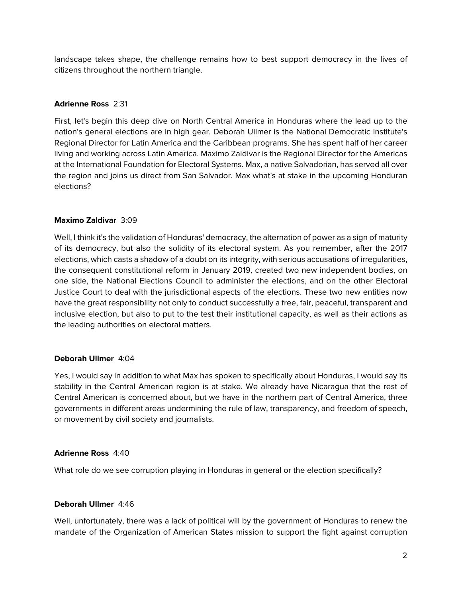landscape takes shape, the challenge remains how to best support democracy in the lives of citizens throughout the northern triangle.

# **Adrienne Ross** 2:31

First, let's begin this deep dive on North Central America in Honduras where the lead up to the nation's general elections are in high gear. Deborah Ullmer is the National Democratic Institute's Regional Director for Latin America and the Caribbean programs. She has spent half of her career living and working across Latin America. Maximo Zaldivar is the Regional Director for the Americas at the International Foundation for Electoral Systems. Max, a native Salvadorian, has served all over the region and joins us direct from San Salvador. Max what's at stake in the upcoming Honduran elections?

# **Maximo Zaldivar** 3:09

Well, I think it's the validation of Honduras' democracy, the alternation of power as a sign of maturity of its democracy, but also the solidity of its electoral system. As you remember, after the 2017 elections, which casts a shadow of a doubt on its integrity, with serious accusations of irregularities, the consequent constitutional reform in January 2019, created two new independent bodies, on one side, the National Elections Council to administer the elections, and on the other Electoral Justice Court to deal with the jurisdictional aspects of the elections. These two new entities now have the great responsibility not only to conduct successfully a free, fair, peaceful, transparent and inclusive election, but also to put to the test their institutional capacity, as well as their actions as the leading authorities on electoral matters.

# **Deborah Ullmer** 4:04

Yes, I would say in addition to what Max has spoken to specifically about Honduras, I would say its stability in the Central American region is at stake. We already have Nicaragua that the rest of Central American is concerned about, but we have in the northern part of Central America, three governments in different areas undermining the rule of law, transparency, and freedom of speech, or movement by civil society and journalists.

#### **Adrienne Ross** 4:40

What role do we see corruption playing in Honduras in general or the election specifically?

# **Deborah Ullmer** 4:46

Well, unfortunately, there was a lack of political will by the government of Honduras to renew the mandate of the Organization of American States mission to support the fight against corruption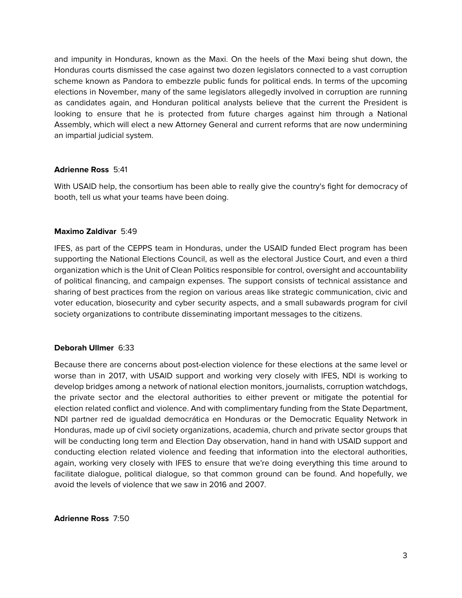and impunity in Honduras, known as the Maxi. On the heels of the Maxi being shut down, the Honduras courts dismissed the case against two dozen legislators connected to a vast corruption scheme known as Pandora to embezzle public funds for political ends. In terms of the upcoming elections in November, many of the same legislators allegedly involved in corruption are running as candidates again, and Honduran political analysts believe that the current the President is looking to ensure that he is protected from future charges against him through a National Assembly, which will elect a new Attorney General and current reforms that are now undermining an impartial judicial system.

#### **Adrienne Ross** 5:41

With USAID help, the consortium has been able to really give the country's fight for democracy of booth, tell us what your teams have been doing.

### **Maximo Zaldivar** 5:49

IFES, as part of the CEPPS team in Honduras, under the USAID funded Elect program has been supporting the National Elections Council, as well as the electoral Justice Court, and even a third organization which is the Unit of Clean Politics responsible for control, oversight and accountability of political financing, and campaign expenses. The support consists of technical assistance and sharing of best practices from the region on various areas like strategic communication, civic and voter education, biosecurity and cyber security aspects, and a small subawards program for civil society organizations to contribute disseminating important messages to the citizens.

#### **Deborah Ullmer** 6:33

Because there are concerns about post-election violence for these elections at the same level or worse than in 2017, with USAID support and working very closely with IFES, NDI is working to develop bridges among a network of national election monitors, journalists, corruption watchdogs, the private sector and the electoral authorities to either prevent or mitigate the potential for election related conflict and violence. And with complimentary funding from the State Department, NDI partner red de igualdad democrática en Honduras or the Democratic Equality Network in Honduras, made up of civil society organizations, academia, church and private sector groups that will be conducting long term and Election Day observation, hand in hand with USAID support and conducting election related violence and feeding that information into the electoral authorities, again, working very closely with IFES to ensure that we're doing everything this time around to facilitate dialogue, political dialogue, so that common ground can be found. And hopefully, we avoid the levels of violence that we saw in 2016 and 2007.

**Adrienne Ross** 7:50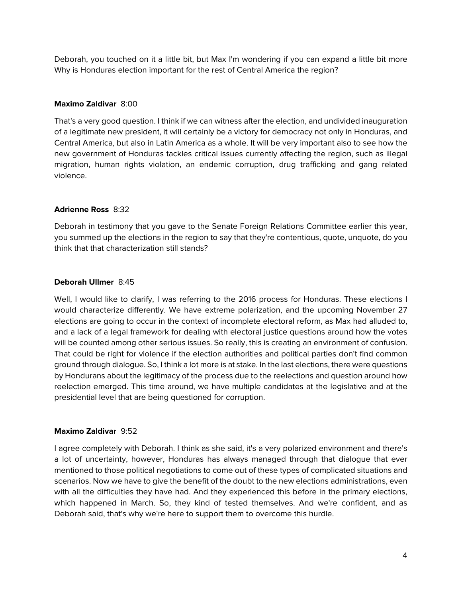Deborah, you touched on it a little bit, but Max I'm wondering if you can expand a little bit more Why is Honduras election important for the rest of Central America the region?

## **Maximo Zaldivar** 8:00

That's a very good question. I think if we can witness after the election, and undivided inauguration of a legitimate new president, it will certainly be a victory for democracy not only in Honduras, and Central America, but also in Latin America as a whole. It will be very important also to see how the new government of Honduras tackles critical issues currently affecting the region, such as illegal migration, human rights violation, an endemic corruption, drug trafficking and gang related violence.

### **Adrienne Ross** 8:32

Deborah in testimony that you gave to the Senate Foreign Relations Committee earlier this year, you summed up the elections in the region to say that they're contentious, quote, unquote, do you think that that characterization still stands?

### **Deborah Ullmer** 8:45

Well, I would like to clarify, I was referring to the 2016 process for Honduras. These elections I would characterize differently. We have extreme polarization, and the upcoming November 27 elections are going to occur in the context of incomplete electoral reform, as Max had alluded to, and a lack of a legal framework for dealing with electoral justice questions around how the votes will be counted among other serious issues. So really, this is creating an environment of confusion. That could be right for violence if the election authorities and political parties don't find common ground through dialogue. So, I think a lot more is at stake. In the last elections, there were questions by Hondurans about the legitimacy of the process due to the reelections and question around how reelection emerged. This time around, we have multiple candidates at the legislative and at the presidential level that are being questioned for corruption.

#### **Maximo Zaldivar** 9:52

I agree completely with Deborah. I think as she said, it's a very polarized environment and there's a lot of uncertainty, however, Honduras has always managed through that dialogue that ever mentioned to those political negotiations to come out of these types of complicated situations and scenarios. Now we have to give the benefit of the doubt to the new elections administrations, even with all the difficulties they have had. And they experienced this before in the primary elections, which happened in March. So, they kind of tested themselves. And we're confident, and as Deborah said, that's why we're here to support them to overcome this hurdle.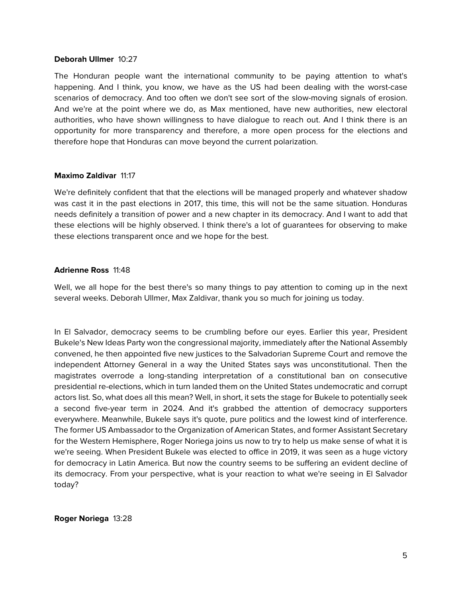#### **Deborah Ullmer** 10:27

The Honduran people want the international community to be paying attention to what's happening. And I think, you know, we have as the US had been dealing with the worst-case scenarios of democracy. And too often we don't see sort of the slow-moving signals of erosion. And we're at the point where we do, as Max mentioned, have new authorities, new electoral authorities, who have shown willingness to have dialogue to reach out. And I think there is an opportunity for more transparency and therefore, a more open process for the elections and therefore hope that Honduras can move beyond the current polarization.

#### **Maximo Zaldivar** 11:17

We're definitely confident that that the elections will be managed properly and whatever shadow was cast it in the past elections in 2017, this time, this will not be the same situation. Honduras needs definitely a transition of power and a new chapter in its democracy. And I want to add that these elections will be highly observed. I think there's a lot of guarantees for observing to make these elections transparent once and we hope for the best.

#### **Adrienne Ross** 11:48

Well, we all hope for the best there's so many things to pay attention to coming up in the next several weeks. Deborah Ullmer, Max Zaldivar, thank you so much for joining us today.

In El Salvador, democracy seems to be crumbling before our eyes. Earlier this year, President Bukele's New Ideas Party won the congressional majority, immediately after the National Assembly convened, he then appointed five new justices to the Salvadorian Supreme Court and remove the independent Attorney General in a way the United States says was unconstitutional. Then the magistrates overrode a long-standing interpretation of a constitutional ban on consecutive presidential re-elections, which in turn landed them on the United States undemocratic and corrupt actors list. So, what does all this mean? Well, in short, it sets the stage for Bukele to potentially seek a second five-year term in 2024. And it's grabbed the attention of democracy supporters everywhere. Meanwhile, Bukele says it's quote, pure politics and the lowest kind of interference. The former US Ambassador to the Organization of American States, and former Assistant Secretary for the Western Hemisphere, Roger Noriega joins us now to try to help us make sense of what it is we're seeing. When President Bukele was elected to office in 2019, it was seen as a huge victory for democracy in Latin America. But now the country seems to be suffering an evident decline of its democracy. From your perspective, what is your reaction to what we're seeing in El Salvador today?

#### **Roger Noriega** 13:28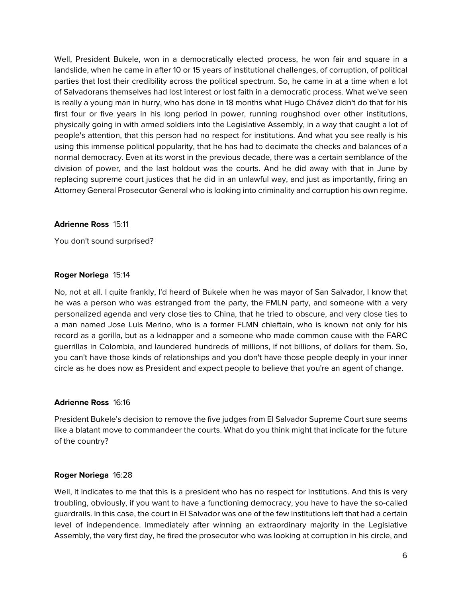Well, President Bukele, won in a democratically elected process, he won fair and square in a landslide, when he came in after 10 or 15 years of institutional challenges, of corruption, of political parties that lost their credibility across the political spectrum. So, he came in at a time when a lot of Salvadorans themselves had lost interest or lost faith in a democratic process. What we've seen is really a young man in hurry, who has done in 18 months what Hugo Chávez didn't do that for his first four or five years in his long period in power, running roughshod over other institutions, physically going in with armed soldiers into the Legislative Assembly, in a way that caught a lot of people's attention, that this person had no respect for institutions. And what you see really is his using this immense political popularity, that he has had to decimate the checks and balances of a normal democracy. Even at its worst in the previous decade, there was a certain semblance of the division of power, and the last holdout was the courts. And he did away with that in June by replacing supreme court justices that he did in an unlawful way, and just as importantly, firing an Attorney General Prosecutor General who is looking into criminality and corruption his own regime.

### **Adrienne Ross** 15:11

You don't sound surprised?

#### **Roger Noriega** 15:14

No, not at all. I quite frankly, I'd heard of Bukele when he was mayor of San Salvador, I know that he was a person who was estranged from the party, the FMLN party, and someone with a very personalized agenda and very close ties to China, that he tried to obscure, and very close ties to a man named Jose Luis Merino, who is a former FLMN chieftain, who is known not only for his record as a gorilla, but as a kidnapper and a someone who made common cause with the FARC guerrillas in Colombia, and laundered hundreds of millions, if not billions, of dollars for them. So, you can't have those kinds of relationships and you don't have those people deeply in your inner circle as he does now as President and expect people to believe that you're an agent of change.

#### **Adrienne Ross** 16:16

President Bukele's decision to remove the five judges from El Salvador Supreme Court sure seems like a blatant move to commandeer the courts. What do you think might that indicate for the future of the country?

# **Roger Noriega** 16:28

Well, it indicates to me that this is a president who has no respect for institutions. And this is very troubling, obviously, if you want to have a functioning democracy, you have to have the so-called guardrails. In this case, the court in El Salvador was one of the few institutions left that had a certain level of independence. Immediately after winning an extraordinary majority in the Legislative Assembly, the very first day, he fired the prosecutor who was looking at corruption in his circle, and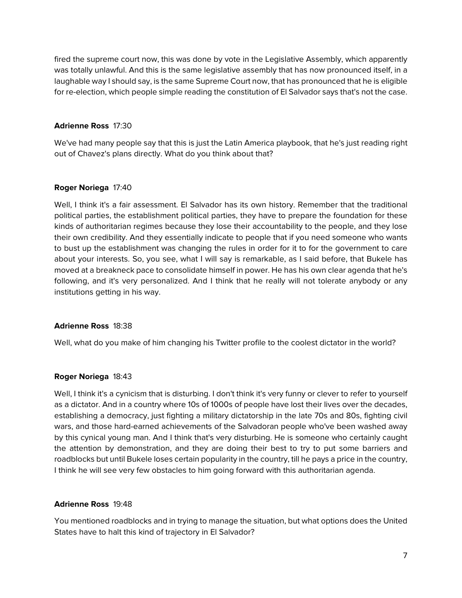fired the supreme court now, this was done by vote in the Legislative Assembly, which apparently was totally unlawful. And this is the same legislative assembly that has now pronounced itself, in a laughable way I should say, is the same Supreme Court now, that has pronounced that he is eligible for re-election, which people simple reading the constitution of El Salvador says that's not the case.

### **Adrienne Ross** 17:30

We've had many people say that this is just the Latin America playbook, that he's just reading right out of Chavez's plans directly. What do you think about that?

### **Roger Noriega** 17:40

Well, I think it's a fair assessment. El Salvador has its own history. Remember that the traditional political parties, the establishment political parties, they have to prepare the foundation for these kinds of authoritarian regimes because they lose their accountability to the people, and they lose their own credibility. And they essentially indicate to people that if you need someone who wants to bust up the establishment was changing the rules in order for it to for the government to care about your interests. So, you see, what I will say is remarkable, as I said before, that Bukele has moved at a breakneck pace to consolidate himself in power. He has his own clear agenda that he's following, and it's very personalized. And I think that he really will not tolerate anybody or any institutions getting in his way.

#### **Adrienne Ross** 18:38

Well, what do you make of him changing his Twitter profile to the coolest dictator in the world?

#### **Roger Noriega** 18:43

Well, I think it's a cynicism that is disturbing. I don't think it's very funny or clever to refer to yourself as a dictator. And in a country where 10s of 1000s of people have lost their lives over the decades, establishing a democracy, just fighting a military dictatorship in the late 70s and 80s, fighting civil wars, and those hard-earned achievements of the Salvadoran people who've been washed away by this cynical young man. And I think that's very disturbing. He is someone who certainly caught the attention by demonstration, and they are doing their best to try to put some barriers and roadblocks but until Bukele loses certain popularity in the country, till he pays a price in the country, I think he will see very few obstacles to him going forward with this authoritarian agenda.

#### **Adrienne Ross** 19:48

You mentioned roadblocks and in trying to manage the situation, but what options does the United States have to halt this kind of trajectory in El Salvador?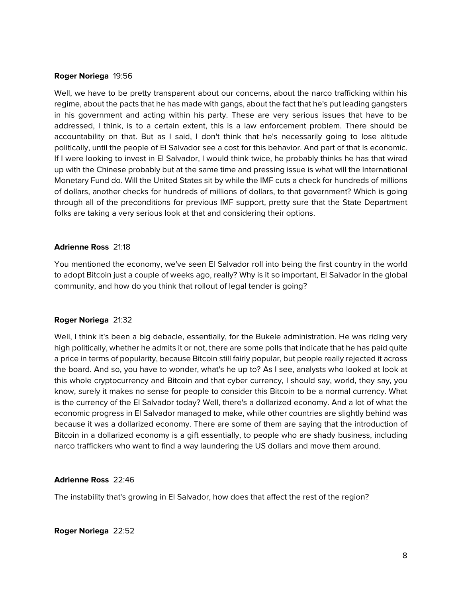#### **Roger Noriega** 19:56

Well, we have to be pretty transparent about our concerns, about the narco trafficking within his regime, about the pacts that he has made with gangs, about the fact that he's put leading gangsters in his government and acting within his party. These are very serious issues that have to be addressed, I think, is to a certain extent, this is a law enforcement problem. There should be accountability on that. But as I said, I don't think that he's necessarily going to lose altitude politically, until the people of El Salvador see a cost for this behavior. And part of that is economic. If I were looking to invest in El Salvador, I would think twice, he probably thinks he has that wired up with the Chinese probably but at the same time and pressing issue is what will the International Monetary Fund do. Will the United States sit by while the IMF cuts a check for hundreds of millions of dollars, another checks for hundreds of millions of dollars, to that government? Which is going through all of the preconditions for previous IMF support, pretty sure that the State Department folks are taking a very serious look at that and considering their options.

#### **Adrienne Ross** 21:18

You mentioned the economy, we've seen El Salvador roll into being the first country in the world to adopt Bitcoin just a couple of weeks ago, really? Why is it so important, El Salvador in the global community, and how do you think that rollout of legal tender is going?

#### **Roger Noriega** 21:32

Well, I think it's been a big debacle, essentially, for the Bukele administration. He was riding very high politically, whether he admits it or not, there are some polls that indicate that he has paid quite a price in terms of popularity, because Bitcoin still fairly popular, but people really rejected it across the board. And so, you have to wonder, what's he up to? As I see, analysts who looked at look at this whole cryptocurrency and Bitcoin and that cyber currency, I should say, world, they say, you know, surely it makes no sense for people to consider this Bitcoin to be a normal currency. What is the currency of the El Salvador today? Well, there's a dollarized economy. And a lot of what the economic progress in El Salvador managed to make, while other countries are slightly behind was because it was a dollarized economy. There are some of them are saying that the introduction of Bitcoin in a dollarized economy is a gift essentially, to people who are shady business, including narco traffickers who want to find a way laundering the US dollars and move them around.

#### **Adrienne Ross** 22:46

The instability that's growing in El Salvador, how does that affect the rest of the region?

#### **Roger Noriega** 22:52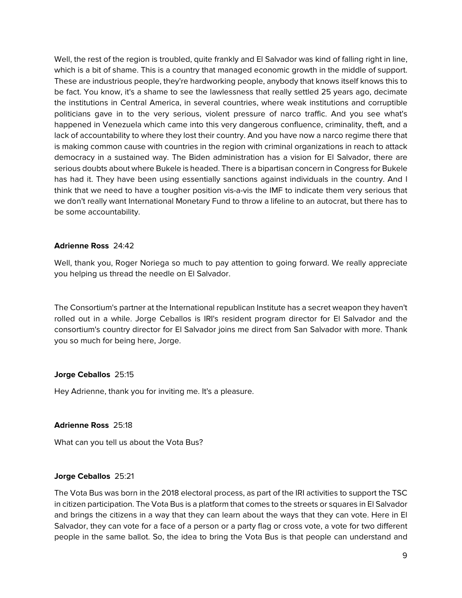Well, the rest of the region is troubled, quite frankly and El Salvador was kind of falling right in line, which is a bit of shame. This is a country that managed economic growth in the middle of support. These are industrious people, they're hardworking people, anybody that knows itself knows this to be fact. You know, it's a shame to see the lawlessness that really settled 25 years ago, decimate the institutions in Central America, in several countries, where weak institutions and corruptible politicians gave in to the very serious, violent pressure of narco traffic. And you see what's happened in Venezuela which came into this very dangerous confluence, criminality, theft, and a lack of accountability to where they lost their country. And you have now a narco regime there that is making common cause with countries in the region with criminal organizations in reach to attack democracy in a sustained way. The Biden administration has a vision for El Salvador, there are serious doubts about where Bukele is headed. There is a bipartisan concern in Congress for Bukele has had it. They have been using essentially sanctions against individuals in the country. And I think that we need to have a tougher position vis-a-vis the IMF to indicate them very serious that we don't really want International Monetary Fund to throw a lifeline to an autocrat, but there has to be some accountability.

#### **Adrienne Ross** 24:42

Well, thank you, Roger Noriega so much to pay attention to going forward. We really appreciate you helping us thread the needle on El Salvador.

The Consortium's partner at the International republican Institute has a secret weapon they haven't rolled out in a while. Jorge Ceballos is IRI's resident program director for El Salvador and the consortium's country director for El Salvador joins me direct from San Salvador with more. Thank you so much for being here, Jorge.

#### **Jorge Ceballos** 25:15

Hey Adrienne, thank you for inviting me. It's a pleasure.

#### **Adrienne Ross** 25:18

What can you tell us about the Vota Bus?

#### **Jorge Ceballos** 25:21

The Vota Bus was born in the 2018 electoral process, as part of the IRI activities to support the TSC in citizen participation. The Vota Bus is a platform that comes to the streets or squares in El Salvador and brings the citizens in a way that they can learn about the ways that they can vote. Here in El Salvador, they can vote for a face of a person or a party flag or cross vote, a vote for two different people in the same ballot. So, the idea to bring the Vota Bus is that people can understand and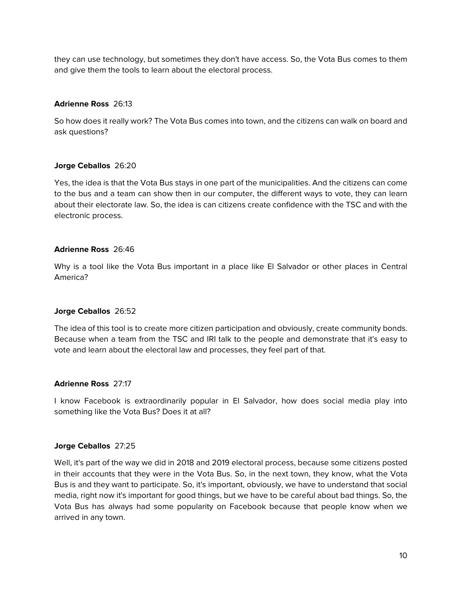they can use technology, but sometimes they don't have access. So, the Vota Bus comes to them and give them the tools to learn about the electoral process.

### **Adrienne Ross** 26:13

So how does it really work? The Vota Bus comes into town, and the citizens can walk on board and ask questions?

### **Jorge Ceballos** 26:20

Yes, the idea is that the Vota Bus stays in one part of the municipalities. And the citizens can come to the bus and a team can show then in our computer, the different ways to vote, they can learn about their electorate law. So, the idea is can citizens create confidence with the TSC and with the electronic process.

#### **Adrienne Ross** 26:46

Why is a tool like the Vota Bus important in a place like El Salvador or other places in Central America?

#### **Jorge Ceballos** 26:52

The idea of this tool is to create more citizen participation and obviously, create community bonds. Because when a team from the TSC and IRI talk to the people and demonstrate that it's easy to vote and learn about the electoral law and processes, they feel part of that.

#### **Adrienne Ross** 27:17

I know Facebook is extraordinarily popular in El Salvador, how does social media play into something like the Vota Bus? Does it at all?

#### **Jorge Ceballos** 27:25

Well, it's part of the way we did in 2018 and 2019 electoral process, because some citizens posted in their accounts that they were in the Vota Bus. So, in the next town, they know, what the Vota Bus is and they want to participate. So, it's important, obviously, we have to understand that social media, right now it's important for good things, but we have to be careful about bad things. So, the Vota Bus has always had some popularity on Facebook because that people know when we arrived in any town.